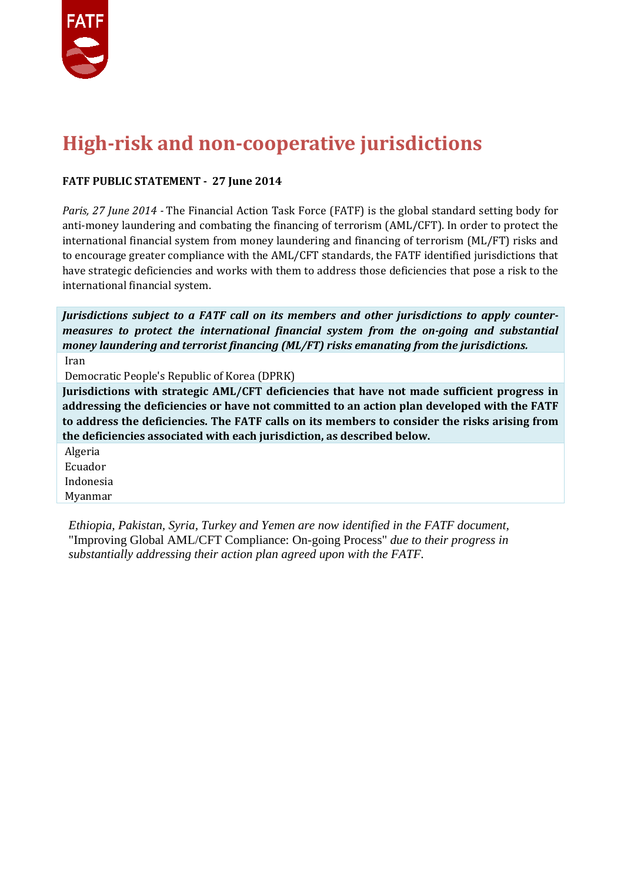

# **High-risk and non-cooperative jurisdictions**

#### **FATF PUBLIC STATEMENT - 27 June 2014**

*Paris, 27 June 2014 -* The Financial Action Task Force (FATF) is the global standard setting body for anti-money laundering and combating the financing of terrorism (AML/CFT). In order to protect the international financial system from money laundering and financing of terrorism (ML/FT) risks and to encourage greater compliance with the AML/CFT standards, the FATF identified jurisdictions that have strategic deficiencies and works with them to address those deficiencies that pose a risk to the international financial system.

*Jurisdictions subject to a FATF call on its members and other jurisdictions to apply countermeasures to protect the international financial system from the on-going and substantial money laundering and terrorist financing (ML/FT) risks emanating from the jurisdictions.* Iran

Democratic People's Republic of Korea (DPRK)

**Jurisdictions with strategic AML/CFT deficiencies that have not made sufficient progress in addressing the deficiencies or have not committed to an action plan developed with the FATF to address the deficiencies. The FATF calls on its members to consider the risks arising from the deficiencies associated with each jurisdiction, as described below.**

Algeria Ecuador Indonesia Myanmar

*Ethiopia, Pakistan, Syria, Turkey and Yemen are now identified in the FATF document,*  "Improving Global AML/CFT Compliance: On-going Process" *due to their progress in substantially addressing their action plan agreed upon with the FATF.*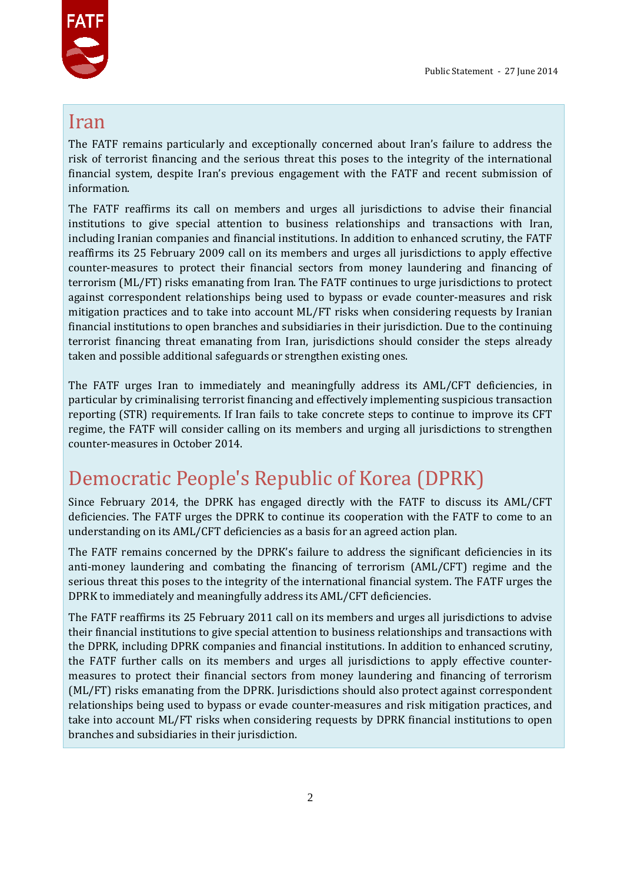

#### Iran

The FATF remains particularly and exceptionally concerned about Iran's failure to address the risk of terrorist financing and the serious threat this poses to the integrity of the international financial system, despite Iran's previous engagement with the FATF and recent submission of information.

The FATF reaffirms its call on members and urges all jurisdictions to advise their financial institutions to give special attention to business relationships and transactions with Iran, including Iranian companies and financial institutions. In addition to enhanced scrutiny, the FATF reaffirms its 25 February 2009 call on its members and urges all jurisdictions to apply effective counter-measures to protect their financial sectors from money laundering and financing of terrorism (ML/FT) risks emanating from Iran. The FATF continues to urge jurisdictions to protect against correspondent relationships being used to bypass or evade counter-measures and risk mitigation practices and to take into account ML/FT risks when considering requests by Iranian financial institutions to open branches and subsidiaries in their jurisdiction. Due to the continuing terrorist financing threat emanating from Iran, jurisdictions should consider the steps already taken and possible additional safeguards or strengthen existing ones.

The FATF urges Iran to immediately and meaningfully address its AML/CFT deficiencies, in particular by criminalising terrorist financing and effectively implementing suspicious transaction reporting (STR) requirements. If Iran fails to take concrete steps to continue to improve its CFT regime, the FATF will consider calling on its members and urging all jurisdictions to strengthen counter-measures in October 2014.

# Democratic People's Republic of Korea (DPRK)

Since February 2014, the DPRK has engaged directly with the FATF to discuss its AML/CFT deficiencies. The FATF urges the DPRK to continue its cooperation with the FATF to come to an understanding on its AML/CFT deficiencies as a basis for an agreed action plan.

The FATF remains concerned by the DPRK's failure to address the significant deficiencies in its anti-money laundering and combating the financing of terrorism (AML/CFT) regime and the serious threat this poses to the integrity of the international financial system. The FATF urges the DPRK to immediately and meaningfully address its AML/CFT deficiencies.

The FATF reaffirms its 25 February 2011 call on its members and urges all jurisdictions to advise their financial institutions to give special attention to business relationships and transactions with the DPRK, including DPRK companies and financial institutions. In addition to enhanced scrutiny, the FATF further calls on its members and urges all jurisdictions to apply effective countermeasures to protect their financial sectors from money laundering and financing of terrorism (ML/FT) risks emanating from the DPRK. Jurisdictions should also protect against correspondent relationships being used to bypass or evade counter-measures and risk mitigation practices, and take into account ML/FT risks when considering requests by DPRK financial institutions to open branches and subsidiaries in their jurisdiction.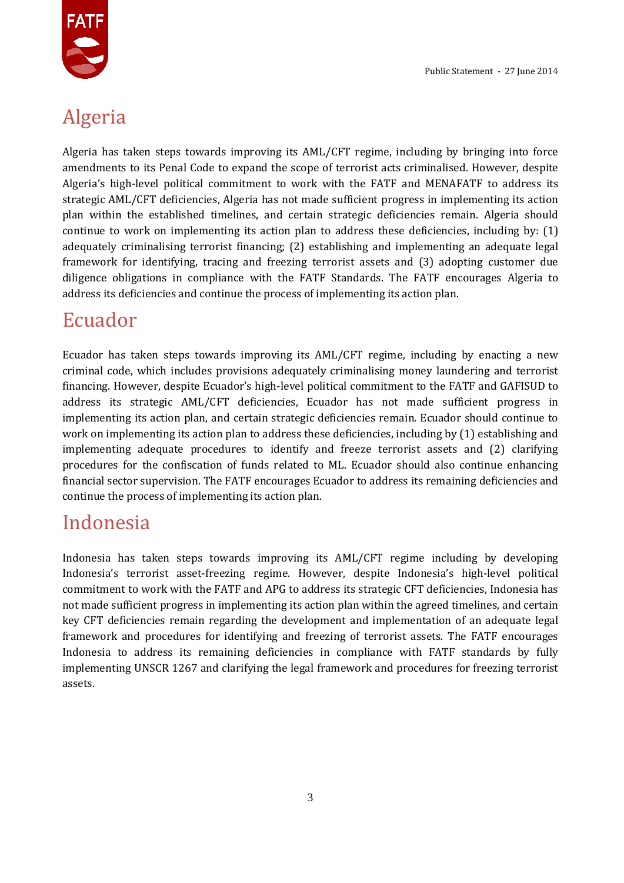

# Algeria

Algeria has taken steps towards improving its AML/CFT regime, including by bringing into force amendments to its Penal Code to expand the scope of terrorist acts criminalised. However, despite Algeria's high-level political commitment to work with the FATF and MENAFATF to address its strategic AML/CFT deficiencies, Algeria has not made sufficient progress in implementing its action plan within the established timelines, and certain strategic deficiencies remain. Algeria should continue to work on implementing its action plan to address these deficiencies, including by: (1) adequately criminalising terrorist financing; (2) establishing and implementing an adequate legal framework for identifying, tracing and freezing terrorist assets and (3) adopting customer due diligence obligations in compliance with the FATF Standards. The FATF encourages Algeria to address its deficiencies and continue the process of implementing its action plan.

# Ecuador

Ecuador has taken steps towards improving its AML/CFT regime, including by enacting a new criminal code, which includes provisions adequately criminalising money laundering and terrorist financing. However, despite Ecuador's high-level political commitment to the FATF and GAFISUD to address its strategic AML/CFT deficiencies, Ecuador has not made sufficient progress in implementing its action plan, and certain strategic deficiencies remain. Ecuador should continue to work on implementing its action plan to address these deficiencies, including by (1) establishing and implementing adequate procedures to identify and freeze terrorist assets and (2) clarifying procedures for the confiscation of funds related to ML. Ecuador should also continue enhancing financial sector supervision. The FATF encourages Ecuador to address its remaining deficiencies and continue the process of implementing its action plan.

# Indonesia

Indonesia has taken steps towards improving its AML/CFT regime including by developing Indonesia's terrorist asset-freezing regime. However, despite Indonesia's high-level political commitment to work with the FATF and APG to address its strategic CFT deficiencies, Indonesia has not made sufficient progress in implementing its action plan within the agreed timelines, and certain key CFT deficiencies remain regarding the development and implementation of an adequate legal framework and procedures for identifying and freezing of terrorist assets. The FATF encourages Indonesia to address its remaining deficiencies in compliance with FATF standards by fully implementing UNSCR 1267 and clarifying the legal framework and procedures for freezing terrorist assets.